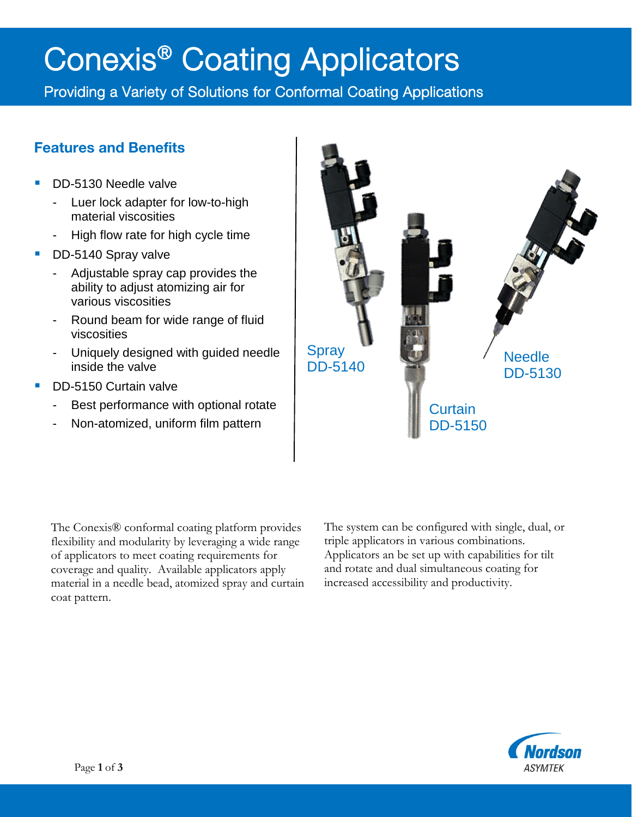# Conexis<sup>®</sup> Coating Applicators<br>Providing a Variety of Solutions for Conformal Coating Applications

## Features and Benefits

- DD-5130 Needle valve
	- Luer lock adapter for low-to-high material viscosities
	- High flow rate for high cycle time
- DD-5140 Spray valve
	- Adjustable spray cap provides the ability to adjust atomizing air for various viscosities
	- Round beam for wide range of fluid viscosities
	- Uniquely designed with guided needle inside the valve
- DD-5150 Curtain valve
	- Best performance with optional rotate
	- Non-atomized, uniform film pattern



The Conexis® conformal coating platform provides flexibility and modularity by leveraging a wide range of applicators to meet coating requirements for coverage and quality. Available applicators apply material in a needle bead, atomized spray and curtain coat pattern.

The system can be configured with single, dual, or triple applicators in various combinations. Applicators an be set up with capabilities for tilt and rotate and dual simultaneous coating for increased accessibility and productivity.

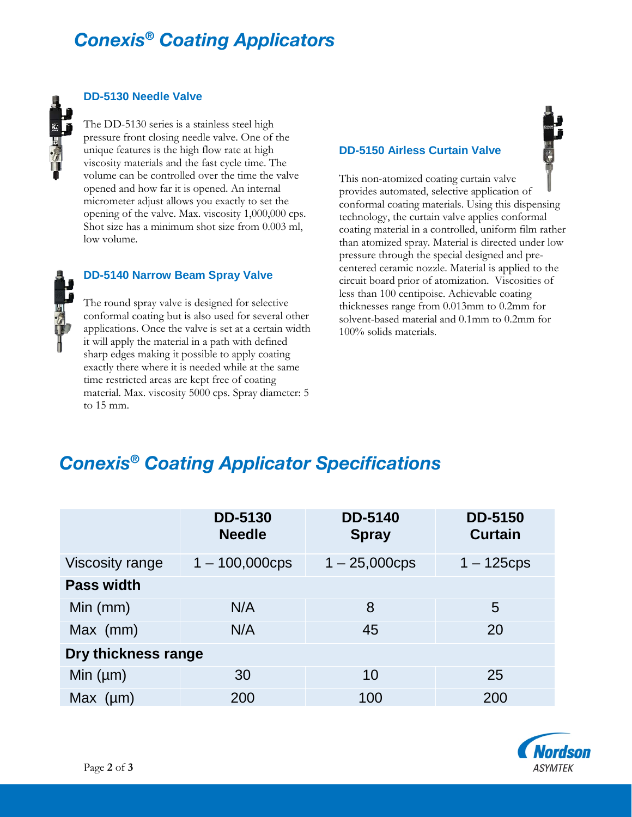# *Conexis® Coating Applicators*



## **DD-5130 Needle Valve**

The DD-5130 series is a stainless steel high pressure front closing needle valve. One of the unique features is the high flow rate at high viscosity materials and the fast cycle time. The volume can be controlled over the time the valve opened and how far it is opened. An internal micrometer adjust allows you exactly to set the opening of the valve. Max. viscosity 1,000,000 cps. Shot size has a minimum shot size from 0.003 ml, low volume.



## **DD-5140 Narrow Beam Spray Valve**

The round spray valve is designed for selective conformal coating but is also used for several other applications. Once the valve is set at a certain width it will apply the material in a path with defined sharp edges making it possible to apply coating exactly there where it is needed while at the same time restricted areas are kept free of coating material. Max. viscosity 5000 cps. Spray diameter: 5 to 15 mm.

### **DD-5150 Airless Curtain Valve**

This non-atomized coating curtain valve provides automated, selective application of conformal coating materials. Using this dispensing technology, the curtain valve applies conformal coating material in a controlled, uniform film rather than atomized spray. Material is directed under low pressure through the special designed and precentered ceramic nozzle. Material is applied to the circuit board prior of atomization. Viscosities of less than 100 centipoise. Achievable coating thicknesses range from 0.013mm to 0.2mm for solvent-based material and 0.1mm to 0.2mm for 100% solids materials.

## *Conexis® Coating Applicator Specifications*

|                        | <b>DD-5130</b><br><b>Needle</b> | <b>DD-5140</b><br><b>Spray</b> | <b>DD-5150</b><br><b>Curtain</b> |
|------------------------|---------------------------------|--------------------------------|----------------------------------|
| <b>Viscosity range</b> | $1 - 100,000$ cps               | $1 - 25,000$ cps               | $1 - 125$ cps                    |
| <b>Pass width</b>      |                                 |                                |                                  |
| Min (mm)               | N/A                             | 8                              | 5                                |
| Max (mm)               | N/A                             | 45                             | 20                               |
| Dry thickness range    |                                 |                                |                                  |
| Min $(\mu m)$          | 30                              | 10                             | 25                               |
| Max $(\mu m)$          | 200                             | 100                            | 200                              |